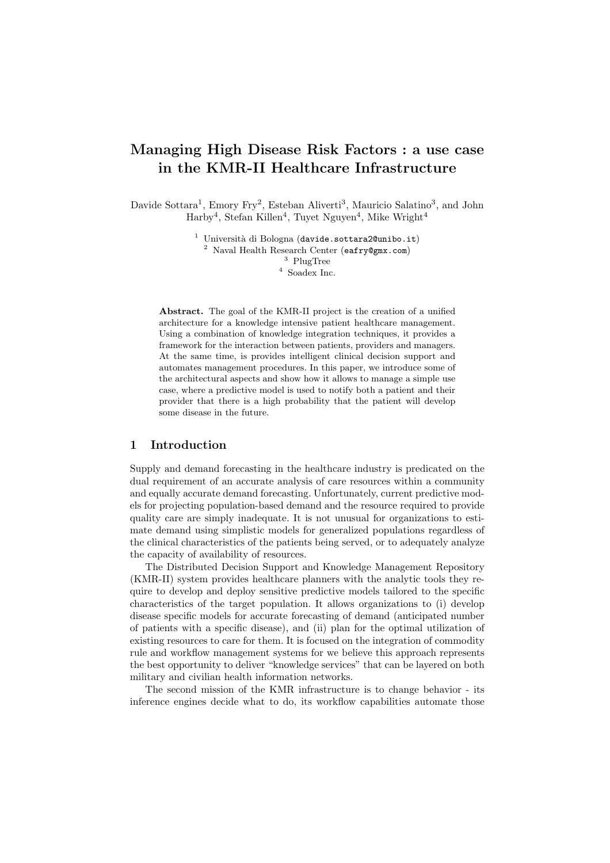# Managing High Disease Risk Factors : a use case in the KMR-II Healthcare Infrastructure

Davide Sottara<sup>1</sup>, Emory Fry<sup>2</sup>, Esteban Aliverti<sup>3</sup>, Mauricio Salatino<sup>3</sup>, and John  $Harby<sup>4</sup>$ , Stefan Killen<sup>4</sup>, Tuyet Nguyen<sup>4</sup>, Mike Wright<sup>4</sup>

> <sup>1</sup> Università di Bologna (davide.sottara2@unibo.it) <sup>2</sup> Naval Health Research Center (eafry@gmx.com) <sup>3</sup> PlugTree

<sup>4</sup> Soadex Inc.

Abstract. The goal of the KMR-II project is the creation of a unified architecture for a knowledge intensive patient healthcare management. Using a combination of knowledge integration techniques, it provides a framework for the interaction between patients, providers and managers. At the same time, is provides intelligent clinical decision support and automates management procedures. In this paper, we introduce some of the architectural aspects and show how it allows to manage a simple use case, where a predictive model is used to notify both a patient and their provider that there is a high probability that the patient will develop some disease in the future.

#### 1 Introduction

Supply and demand forecasting in the healthcare industry is predicated on the dual requirement of an accurate analysis of care resources within a community and equally accurate demand forecasting. Unfortunately, current predictive models for projecting population-based demand and the resource required to provide quality care are simply inadequate. It is not unusual for organizations to estimate demand using simplistic models for generalized populations regardless of the clinical characteristics of the patients being served, or to adequately analyze the capacity of availability of resources.

The Distributed Decision Support and Knowledge Management Repository (KMR-II) system provides healthcare planners with the analytic tools they require to develop and deploy sensitive predictive models tailored to the specific characteristics of the target population. It allows organizations to (i) develop disease specific models for accurate forecasting of demand (anticipated number of patients with a specific disease), and (ii) plan for the optimal utilization of existing resources to care for them. It is focused on the integration of commodity rule and workflow management systems for we believe this approach represents the best opportunity to deliver "knowledge services" that can be layered on both military and civilian health information networks.

The second mission of the KMR infrastructure is to change behavior - its inference engines decide what to do, its workflow capabilities automate those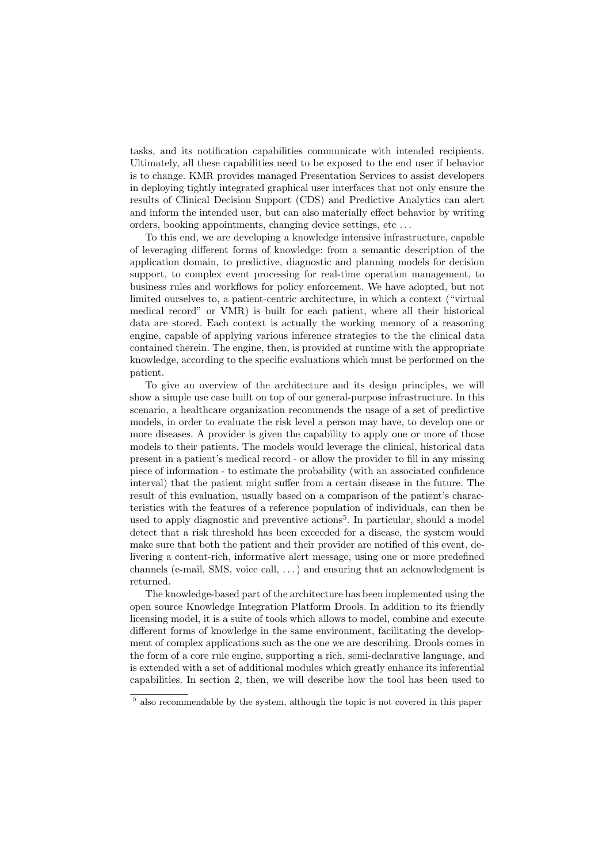tasks, and its notification capabilities communicate with intended recipients. Ultimately, all these capabilities need to be exposed to the end user if behavior is to change. KMR provides managed Presentation Services to assist developers in deploying tightly integrated graphical user interfaces that not only ensure the results of Clinical Decision Support (CDS) and Predictive Analytics can alert and inform the intended user, but can also materially effect behavior by writing orders, booking appointments, changing device settings, etc . . .

To this end, we are developing a knowledge intensive infrastructure, capable of leveraging different forms of knowledge: from a semantic description of the application domain, to predictive, diagnostic and planning models for decision support, to complex event processing for real-time operation management, to business rules and workflows for policy enforcement. We have adopted, but not limited ourselves to, a patient-centric architecture, in which a context ("virtual medical record" or VMR) is built for each patient, where all their historical data are stored. Each context is actually the working memory of a reasoning engine, capable of applying various inference strategies to the the clinical data contained therein. The engine, then, is provided at runtime with the appropriate knowledge, according to the specific evaluations which must be performed on the patient.

To give an overview of the architecture and its design principles, we will show a simple use case built on top of our general-purpose infrastructure. In this scenario, a healthcare organization recommends the usage of a set of predictive models, in order to evaluate the risk level a person may have, to develop one or more diseases. A provider is given the capability to apply one or more of those models to their patients. The models would leverage the clinical, historical data present in a patient's medical record - or allow the provider to fill in any missing piece of information - to estimate the probability (with an associated confidence interval) that the patient might suffer from a certain disease in the future. The result of this evaluation, usually based on a comparison of the patient's characteristics with the features of a reference population of individuals, can then be used to apply diagnostic and preventive actions<sup>5</sup>. In particular, should a model detect that a risk threshold has been exceeded for a disease, the system would make sure that both the patient and their provider are notified of this event, delivering a content-rich, informative alert message, using one or more predefined channels (e-mail, SMS, voice call, . . . ) and ensuring that an acknowledgment is returned.

The knowledge-based part of the architecture has been implemented using the open source Knowledge Integration Platform Drools. In addition to its friendly licensing model, it is a suite of tools which allows to model, combine and execute different forms of knowledge in the same environment, facilitating the development of complex applications such as the one we are describing. Drools comes in the form of a core rule engine, supporting a rich, semi-declarative language, and is extended with a set of additional modules which greatly enhance its inferential capabilities. In section 2, then, we will describe how the tool has been used to

<sup>5</sup> also recommendable by the system, although the topic is not covered in this paper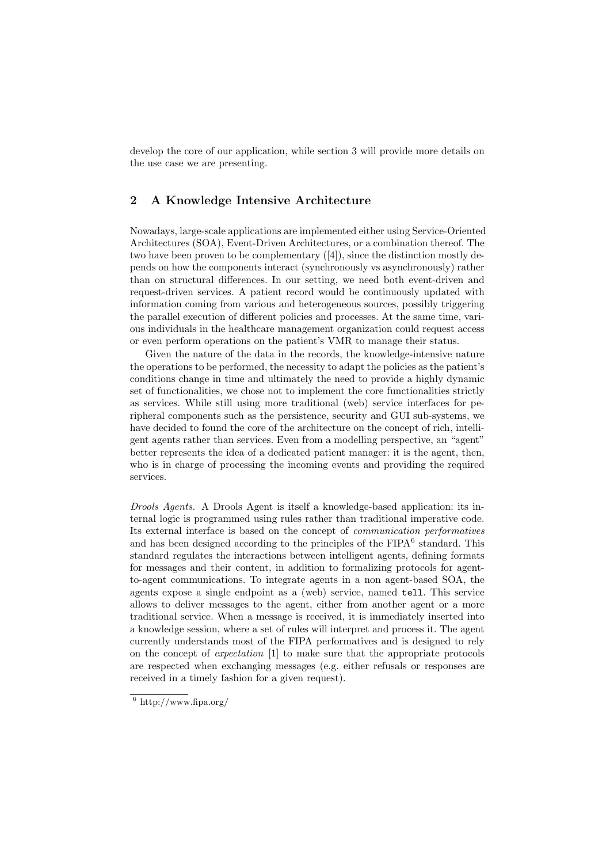develop the core of our application, while section 3 will provide more details on the use case we are presenting.

## 2 A Knowledge Intensive Architecture

Nowadays, large-scale applications are implemented either using Service-Oriented Architectures (SOA), Event-Driven Architectures, or a combination thereof. The two have been proven to be complementary ([4]), since the distinction mostly depends on how the components interact (synchronously vs asynchronously) rather than on structural differences. In our setting, we need both event-driven and request-driven services. A patient record would be continuously updated with information coming from various and heterogeneous sources, possibly triggering the parallel execution of different policies and processes. At the same time, various individuals in the healthcare management organization could request access or even perform operations on the patient's VMR to manage their status.

Given the nature of the data in the records, the knowledge-intensive nature the operations to be performed, the necessity to adapt the policies as the patient's conditions change in time and ultimately the need to provide a highly dynamic set of functionalities, we chose not to implement the core functionalities strictly as services. While still using more traditional (web) service interfaces for peripheral components such as the persistence, security and GUI sub-systems, we have decided to found the core of the architecture on the concept of rich, intelligent agents rather than services. Even from a modelling perspective, an "agent" better represents the idea of a dedicated patient manager: it is the agent, then, who is in charge of processing the incoming events and providing the required services.

*Drools Agents.* A Drools Agent is itself a knowledge-based application: its internal logic is programmed using rules rather than traditional imperative code. Its external interface is based on the concept of *communication performatives* and has been designed according to the principles of the  $FIPA<sup>6</sup>$  standard. This standard regulates the interactions between intelligent agents, defining formats for messages and their content, in addition to formalizing protocols for agentto-agent communications. To integrate agents in a non agent-based SOA, the agents expose a single endpoint as a (web) service, named tell. This service allows to deliver messages to the agent, either from another agent or a more traditional service. When a message is received, it is immediately inserted into a knowledge session, where a set of rules will interpret and process it. The agent currently understands most of the FIPA performatives and is designed to rely on the concept of *expectation* [1] to make sure that the appropriate protocols are respected when exchanging messages (e.g. either refusals or responses are received in a timely fashion for a given request).

 $6$  http://www.fipa.org/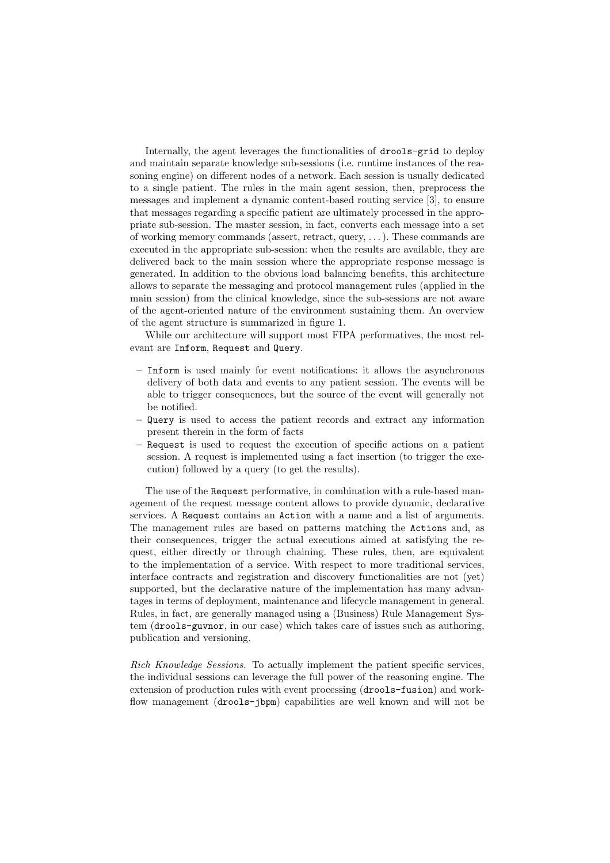Internally, the agent leverages the functionalities of drools-grid to deploy and maintain separate knowledge sub-sessions (i.e. runtime instances of the reasoning engine) on different nodes of a network. Each session is usually dedicated to a single patient. The rules in the main agent session, then, preprocess the messages and implement a dynamic content-based routing service [3], to ensure that messages regarding a specific patient are ultimately processed in the appropriate sub-session. The master session, in fact, converts each message into a set of working memory commands (assert, retract, query, . . . ). These commands are executed in the appropriate sub-session: when the results are available, they are delivered back to the main session where the appropriate response message is generated. In addition to the obvious load balancing benefits, this architecture allows to separate the messaging and protocol management rules (applied in the main session) from the clinical knowledge, since the sub-sessions are not aware of the agent-oriented nature of the environment sustaining them. An overview of the agent structure is summarized in figure 1.

While our architecture will support most FIPA performatives, the most relevant are Inform, Request and Query.

- Inform is used mainly for event notifications: it allows the asynchronous delivery of both data and events to any patient session. The events will be able to trigger consequences, but the source of the event will generally not be notified.
- Query is used to access the patient records and extract any information present therein in the form of facts
- Request is used to request the execution of specific actions on a patient session. A request is implemented using a fact insertion (to trigger the execution) followed by a query (to get the results).

The use of the Request performative, in combination with a rule-based management of the request message content allows to provide dynamic, declarative services. A Request contains an Action with a name and a list of arguments. The management rules are based on patterns matching the Actions and, as their consequences, trigger the actual executions aimed at satisfying the request, either directly or through chaining. These rules, then, are equivalent to the implementation of a service. With respect to more traditional services, interface contracts and registration and discovery functionalities are not (yet) supported, but the declarative nature of the implementation has many advantages in terms of deployment, maintenance and lifecycle management in general. Rules, in fact, are generally managed using a (Business) Rule Management System (drools-guvnor, in our case) which takes care of issues such as authoring, publication and versioning.

*Rich Knowledge Sessions.* To actually implement the patient specific services, the individual sessions can leverage the full power of the reasoning engine. The extension of production rules with event processing (drools-fusion) and workflow management (drools-jbpm) capabilities are well known and will not be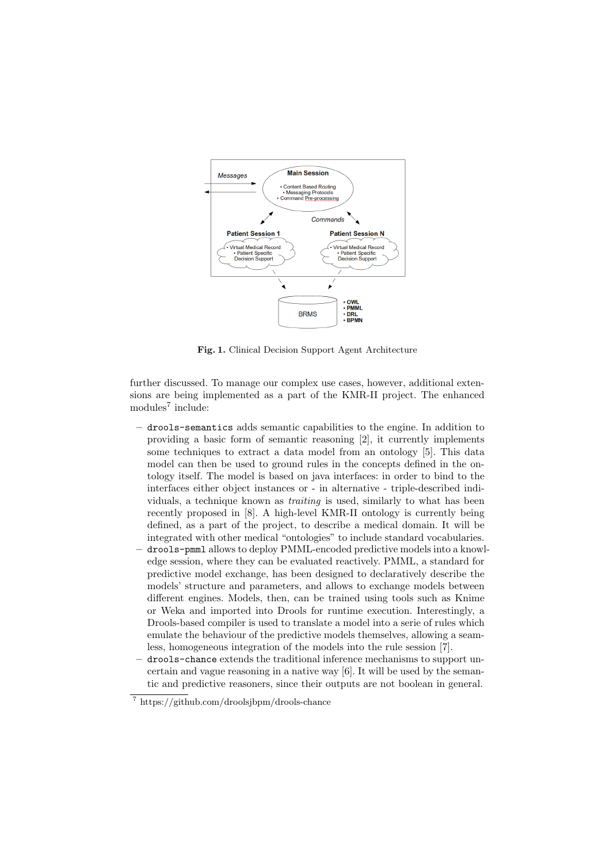

Fig. 1. Clinical Decision Support Agent Architecture

further discussed. To manage our complex use cases, however, additional extensions are being implemented as a part of the KMR-II project. The enhanced  $modules<sup>7</sup>$  include:

- drools-semantics adds semantic capabilities to the engine. In addition to providing a basic form of semantic reasoning [2], it currently implements some techniques to extract a data model from an ontology [5]. This data model can then be used to ground rules in the concepts defined in the ontology itself. The model is based on java interfaces: in order to bind to the interfaces either object instances or - in alternative - triple-described individuals, a technique known as *traiting* is used, similarly to what has been recently proposed in [8]. A high-level KMR-II ontology is currently being defined, as a part of the project, to describe a medical domain. It will be integrated with other medical "ontologies" to include standard vocabularies.
- drools-pmml allows to deploy PMML-encoded predictive models into a knowledge session, where they can be evaluated reactively. PMML, a standard for predictive model exchange, has been designed to declaratively describe the models' structure and parameters, and allows to exchange models between different engines. Models, then, can be trained using tools such as Knime or Weka and imported into Drools for runtime execution. Interestingly, a Drools-based compiler is used to translate a model into a serie of rules which emulate the behaviour of the predictive models themselves, allowing a seamless, homogeneous integration of the models into the rule session [7].
- drools-chance extends the traditional inference mechanisms to support uncertain and vague reasoning in a native way [6]. It will be used by the semantic and predictive reasoners, since their outputs are not boolean in general.

<sup>7</sup> https://github.com/droolsjbpm/drools-chance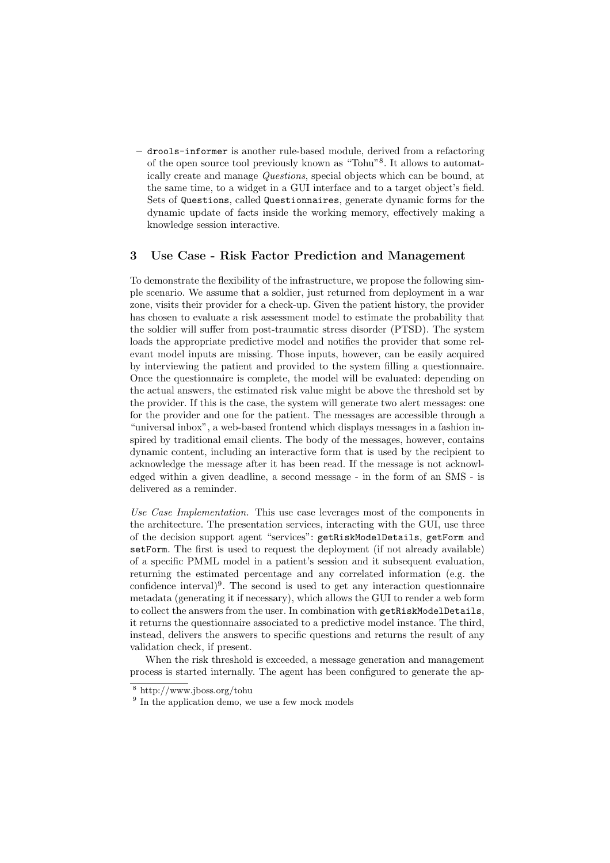– drools-informer is another rule-based module, derived from a refactoring of the open source tool previously known as "Tohu"8. It allows to automatically create and manage *Questions*, special objects which can be bound, at the same time, to a widget in a GUI interface and to a target object's field. Sets of Questions, called Questionnaires, generate dynamic forms for the dynamic update of facts inside the working memory, effectively making a knowledge session interactive.

### 3 Use Case - Risk Factor Prediction and Management

To demonstrate the flexibility of the infrastructure, we propose the following simple scenario. We assume that a soldier, just returned from deployment in a war zone, visits their provider for a check-up. Given the patient history, the provider has chosen to evaluate a risk assessment model to estimate the probability that the soldier will suffer from post-traumatic stress disorder (PTSD). The system loads the appropriate predictive model and notifies the provider that some relevant model inputs are missing. Those inputs, however, can be easily acquired by interviewing the patient and provided to the system filling a questionnaire. Once the questionnaire is complete, the model will be evaluated: depending on the actual answers, the estimated risk value might be above the threshold set by the provider. If this is the case, the system will generate two alert messages: one for the provider and one for the patient. The messages are accessible through a "universal inbox", a web-based frontend which displays messages in a fashion inspired by traditional email clients. The body of the messages, however, contains dynamic content, including an interactive form that is used by the recipient to acknowledge the message after it has been read. If the message is not acknowledged within a given deadline, a second message - in the form of an SMS - is delivered as a reminder.

*Use Case Implementation.* This use case leverages most of the components in the architecture. The presentation services, interacting with the GUI, use three of the decision support agent "services": getRiskModelDetails, getForm and setForm. The first is used to request the deployment (if not already available) of a specific PMML model in a patient's session and it subsequent evaluation, returning the estimated percentage and any correlated information (e.g. the confidence interval $)^9$ . The second is used to get any interaction questionnaire metadata (generating it if necessary), which allows the GUI to render a web form to collect the answers from the user. In combination with getRiskModelDetails, it returns the questionnaire associated to a predictive model instance. The third, instead, delivers the answers to specific questions and returns the result of any validation check, if present.

When the risk threshold is exceeded, a message generation and management process is started internally. The agent has been configured to generate the ap-

<sup>8</sup> http://www.jboss.org/tohu

<sup>&</sup>lt;sup>9</sup> In the application demo, we use a few mock models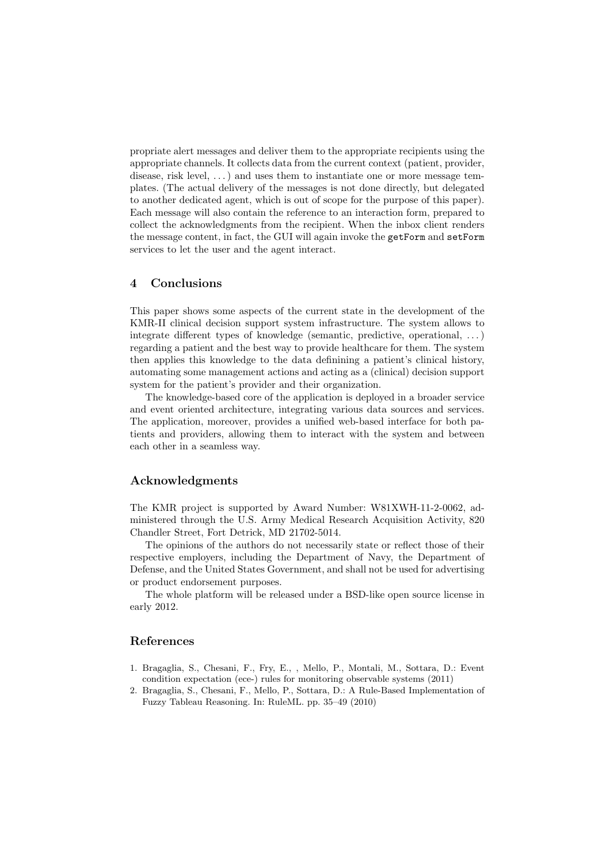propriate alert messages and deliver them to the appropriate recipients using the appropriate channels. It collects data from the current context (patient, provider, disease, risk level,  $\dots$ ) and uses them to instantiate one or more message templates. (The actual delivery of the messages is not done directly, but delegated to another dedicated agent, which is out of scope for the purpose of this paper). Each message will also contain the reference to an interaction form, prepared to collect the acknowledgments from the recipient. When the inbox client renders the message content, in fact, the GUI will again invoke the getForm and setForm services to let the user and the agent interact.

### 4 Conclusions

This paper shows some aspects of the current state in the development of the KMR-II clinical decision support system infrastructure. The system allows to integrate different types of knowledge (semantic, predictive, operational,  $\dots$ ) regarding a patient and the best way to provide healthcare for them. The system then applies this knowledge to the data definining a patient's clinical history, automating some management actions and acting as a (clinical) decision support system for the patient's provider and their organization.

The knowledge-based core of the application is deployed in a broader service and event oriented architecture, integrating various data sources and services. The application, moreover, provides a unified web-based interface for both patients and providers, allowing them to interact with the system and between each other in a seamless way.

### Acknowledgments

The KMR project is supported by Award Number: W81XWH-11-2-0062, administered through the U.S. Army Medical Research Acquisition Activity, 820 Chandler Street, Fort Detrick, MD 21702-5014.

The opinions of the authors do not necessarily state or reflect those of their respective employers, including the Department of Navy, the Department of Defense, and the United States Government, and shall not be used for advertising or product endorsement purposes.

The whole platform will be released under a BSD-like open source license in early 2012.

### References

- 1. Bragaglia, S., Chesani, F., Fry, E., , Mello, P., Montali, M., Sottara, D.: Event condition expectation (ece-) rules for monitoring observable systems (2011)
- 2. Bragaglia, S., Chesani, F., Mello, P., Sottara, D.: A Rule-Based Implementation of Fuzzy Tableau Reasoning. In: RuleML. pp. 35–49 (2010)